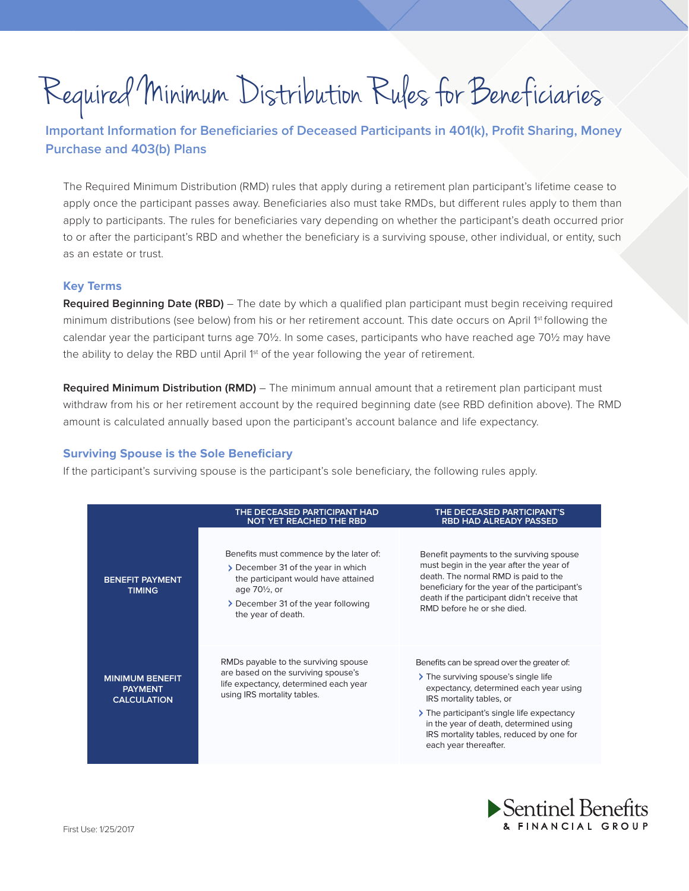# Required Minimum Distribution Rules for Beneficiaries

**Important Information for Beneficiaries of Deceased Participants in 401(k), Profit Sharing, Money Purchase and 403(b) Plans**

The Required Minimum Distribution (RMD) rules that apply during a retirement plan participant's lifetime cease to apply once the participant passes away. Beneficiaries also must take RMDs, but different rules apply to them than apply to participants. The rules for beneficiaries vary depending on whether the participant's death occurred prior to or after the participant's RBD and whether the beneficiary is a surviving spouse, other individual, or entity, such as an estate or trust.

## **Key Terms**

**Required Beginning Date (RBD)** – The date by which a qualified plan participant must begin receiving required minimum distributions (see below) from his or her retirement account. This date occurs on April 1<sup>st</sup> following the calendar year the participant turns age 70½. In some cases, participants who have reached age 70½ may have the ability to delay the RBD until April 1<sup>st</sup> of the year following the year of retirement.

**Required Minimum Distribution (RMD)** – The minimum annual amount that a retirement plan participant must withdraw from his or her retirement account by the required beginning date (see RBD definition above). The RMD amount is calculated annually based upon the participant's account balance and life expectancy.

## **Surviving Spouse is the Sole Beneficiary**

If the participant's surviving spouse is the participant's sole beneficiary, the following rules apply.

|                                                                | THE DECEASED PARTICIPANT HAD<br><b>NOT YET REACHED THE RBD</b>                                                                                                                                                  | THE DECEASED PARTICIPANT'S<br><b>RBD HAD ALREADY PASSED</b>                                                                                                                                                                                                                                                            |
|----------------------------------------------------------------|-----------------------------------------------------------------------------------------------------------------------------------------------------------------------------------------------------------------|------------------------------------------------------------------------------------------------------------------------------------------------------------------------------------------------------------------------------------------------------------------------------------------------------------------------|
| <b>BENEFIT PAYMENT</b><br><b>TIMING</b>                        | Benefits must commence by the later of:<br>> December 31 of the year in which<br>the participant would have attained<br>age 70 <sup>1/2</sup> , or<br>> December 31 of the year following<br>the year of death. | Benefit payments to the surviving spouse<br>must begin in the year after the year of<br>death. The normal RMD is paid to the<br>beneficiary for the year of the participant's<br>death if the participant didn't receive that<br>RMD before he or she died.                                                            |
| <b>MINIMUM BENEFIT</b><br><b>PAYMENT</b><br><b>CALCULATION</b> | RMDs payable to the surviving spouse<br>are based on the surviving spouse's<br>life expectancy, determined each year<br>using IRS mortality tables.                                                             | Benefits can be spread over the greater of:<br>> The surviving spouse's single life<br>expectancy, determined each year using<br>IRS mortality tables, or<br>> The participant's single life expectancy<br>in the year of death, determined using<br>IRS mortality tables, reduced by one for<br>each year thereafter. |

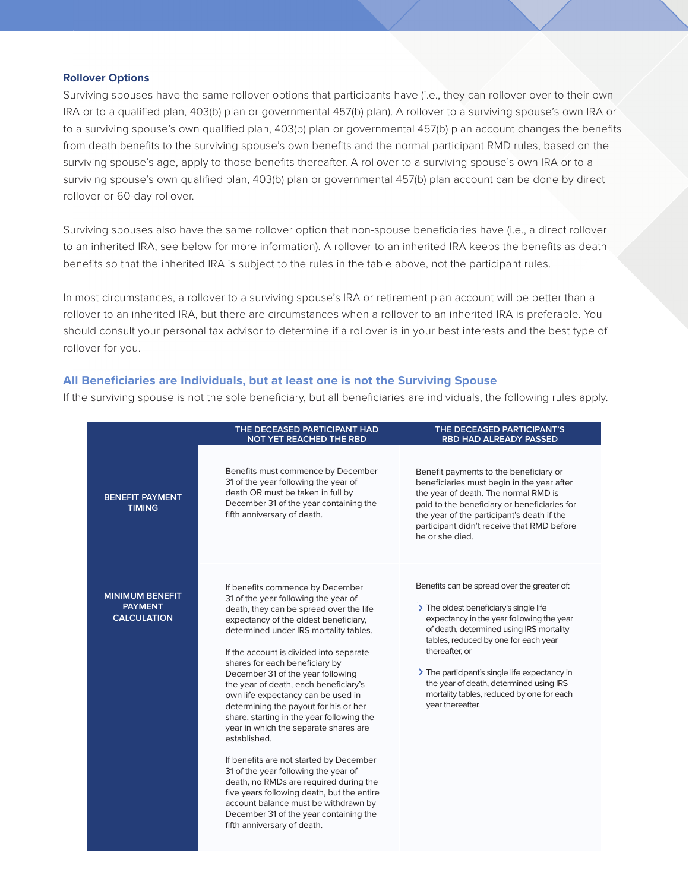#### **Rollover Options**

Surviving spouses have the same rollover options that participants have (i.e., they can rollover over to their own IRA or to a qualified plan, 403(b) plan or governmental 457(b) plan). A rollover to a surviving spouse's own IRA or to a surviving spouse's own qualified plan, 403(b) plan or governmental 457(b) plan account changes the benefits from death benefits to the surviving spouse's own benefits and the normal participant RMD rules, based on the surviving spouse's age, apply to those benefits thereafter. A rollover to a surviving spouse's own IRA or to a surviving spouse's own qualified plan, 403(b) plan or governmental 457(b) plan account can be done by direct rollover or 60-day rollover.

Surviving spouses also have the same rollover option that non-spouse beneficiaries have (i.e., a direct rollover to an inherited IRA; see below for more information). A rollover to an inherited IRA keeps the benefits as death benefits so that the inherited IRA is subject to the rules in the table above, not the participant rules.

In most circumstances, a rollover to a surviving spouse's IRA or retirement plan account will be better than a rollover to an inherited IRA, but there are circumstances when a rollover to an inherited IRA is preferable. You should consult your personal tax advisor to determine if a rollover is in your best interests and the best type of rollover for you.

## **All Beneficiaries are Individuals, but at least one is not the Surviving Spouse**

If the surviving spouse is not the sole beneficiary, but all beneficiaries are individuals, the following rules apply.

|                                                                | THE DECEASED PARTICIPANT HAD<br><b>NOT YET REACHED THE RBD</b>                                                                                                                                                                                                                                                                                                                                                                                                                                                                                                                                                                                                                                                                                                                                                                                     | THE DECEASED PARTICIPANT'S<br><b>RBD HAD ALREADY PASSED</b>                                                                                                                                                                                                                                                                                                                                           |
|----------------------------------------------------------------|----------------------------------------------------------------------------------------------------------------------------------------------------------------------------------------------------------------------------------------------------------------------------------------------------------------------------------------------------------------------------------------------------------------------------------------------------------------------------------------------------------------------------------------------------------------------------------------------------------------------------------------------------------------------------------------------------------------------------------------------------------------------------------------------------------------------------------------------------|-------------------------------------------------------------------------------------------------------------------------------------------------------------------------------------------------------------------------------------------------------------------------------------------------------------------------------------------------------------------------------------------------------|
| <b>BENEFIT PAYMENT</b><br><b>TIMING</b>                        | Benefits must commence by December<br>31 of the year following the year of<br>death OR must be taken in full by<br>December 31 of the year containing the<br>fifth anniversary of death.                                                                                                                                                                                                                                                                                                                                                                                                                                                                                                                                                                                                                                                           | Benefit payments to the beneficiary or<br>beneficiaries must begin in the year after<br>the year of death. The normal RMD is<br>paid to the beneficiary or beneficiaries for<br>the year of the participant's death if the<br>participant didn't receive that RMD before<br>he or she died.                                                                                                           |
| <b>MINIMUM BENEFIT</b><br><b>PAYMENT</b><br><b>CALCULATION</b> | If benefits commence by December<br>31 of the year following the year of<br>death, they can be spread over the life<br>expectancy of the oldest beneficiary,<br>determined under IRS mortality tables.<br>If the account is divided into separate<br>shares for each beneficiary by<br>December 31 of the year following<br>the year of death, each beneficiary's<br>own life expectancy can be used in<br>determining the payout for his or her<br>share, starting in the year following the<br>year in which the separate shares are<br>established.<br>If benefits are not started by December<br>31 of the year following the year of<br>death, no RMDs are required during the<br>five years following death, but the entire<br>account balance must be withdrawn by<br>December 31 of the year containing the<br>fifth anniversary of death. | Benefits can be spread over the greater of:<br>> The oldest beneficiary's single life<br>expectancy in the year following the year<br>of death, determined using IRS mortality<br>tables, reduced by one for each year<br>thereafter, or<br>> The participant's single life expectancy in<br>the year of death, determined using IRS<br>mortality tables, reduced by one for each<br>year thereafter. |